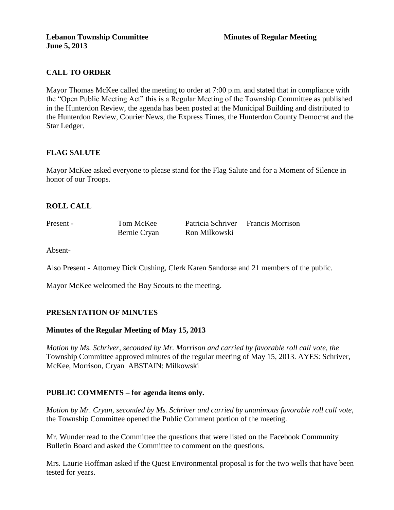## **CALL TO ORDER**

Mayor Thomas McKee called the meeting to order at 7:00 p.m. and stated that in compliance with the "Open Public Meeting Act" this is a Regular Meeting of the Township Committee as published in the Hunterdon Review, the agenda has been posted at the Municipal Building and distributed to the Hunterdon Review, Courier News, the Express Times, the Hunterdon County Democrat and the Star Ledger.

## **FLAG SALUTE**

Mayor McKee asked everyone to please stand for the Flag Salute and for a Moment of Silence in honor of our Troops.

## **ROLL CALL**

| Present - | Tom McKee    | Patricia Schriver Francis Morrison |  |
|-----------|--------------|------------------------------------|--|
|           | Bernie Cryan | Ron Milkowski                      |  |

Absent-

Also Present - Attorney Dick Cushing, Clerk Karen Sandorse and 21 members of the public.

Mayor McKee welcomed the Boy Scouts to the meeting.

### **PRESENTATION OF MINUTES**

### **Minutes of the Regular Meeting of May 15, 2013**

*Motion by Ms. Schriver, seconded by Mr. Morrison and carried by favorable roll call vote, the*  Township Committee approved minutes of the regular meeting of May 15, 2013. AYES: Schriver, McKee, Morrison, Cryan ABSTAIN: Milkowski

### **PUBLIC COMMENTS – for agenda items only.**

*Motion by Mr. Cryan, seconded by Ms. Schriver and carried by unanimous favorable roll call vote,* the Township Committee opened the Public Comment portion of the meeting.

Mr. Wunder read to the Committee the questions that were listed on the Facebook Community Bulletin Board and asked the Committee to comment on the questions.

Mrs. Laurie Hoffman asked if the Quest Environmental proposal is for the two wells that have been tested for years.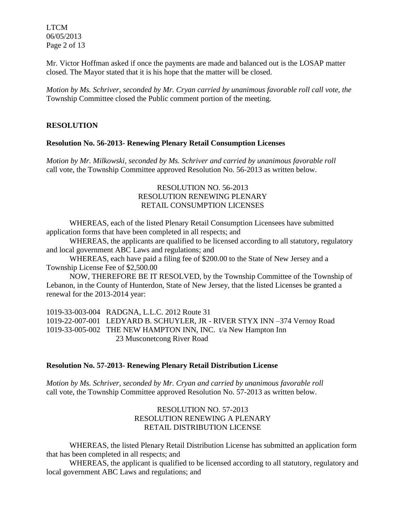LTCM 06/05/2013 Page 2 of 13

Mr. Victor Hoffman asked if once the payments are made and balanced out is the LOSAP matter closed. The Mayor stated that it is his hope that the matter will be closed.

*Motion by Ms. Schriver, seconded by Mr. Cryan carried by unanimous favorable roll call vote, the* Township Committee closed the Public comment portion of the meeting.

### **RESOLUTION**

### **Resolution No. 56-2013- Renewing Plenary Retail Consumption Licenses**

*Motion by Mr. Milkowski, seconded by Ms. Schriver and carried by unanimous favorable roll*  call vote, the Township Committee approved Resolution No. 56-2013 as written below.

## RESOLUTION NO. 56-2013 RESOLUTION RENEWING PLENARY RETAIL CONSUMPTION LICENSES

WHEREAS, each of the listed Plenary Retail Consumption Licensees have submitted application forms that have been completed in all respects; and

WHEREAS, the applicants are qualified to be licensed according to all statutory, regulatory and local government ABC Laws and regulations; and

WHEREAS, each have paid a filing fee of \$200.00 to the State of New Jersey and a Township License Fee of \$2,500.00

NOW, THEREFORE BE IT RESOLVED, by the Township Committee of the Township of Lebanon, in the County of Hunterdon, State of New Jersey, that the listed Licenses be granted a renewal for the 2013-2014 year:

1019-33-003-004 RADGNA, L.L.C. 2012 Route 31 1019-22-007-001 LEDYARD B. SCHUYLER, JR - RIVER STYX INN –374 Vernoy Road 1019-33-005-002 THE NEW HAMPTON INN, INC. t/a New Hampton Inn 23 Musconetcong River Road

### **Resolution No. 57-2013- Renewing Plenary Retail Distribution License**

*Motion by Ms. Schriver, seconded by Mr. Cryan and carried by unanimous favorable roll*  call vote, the Township Committee approved Resolution No. 57-2013 as written below.

## RESOLUTION NO. 57-2013 RESOLUTION RENEWING A PLENARY RETAIL DISTRIBUTION LICENSE

WHEREAS, the listed Plenary Retail Distribution License has submitted an application form that has been completed in all respects; and

WHEREAS, the applicant is qualified to be licensed according to all statutory, regulatory and local government ABC Laws and regulations; and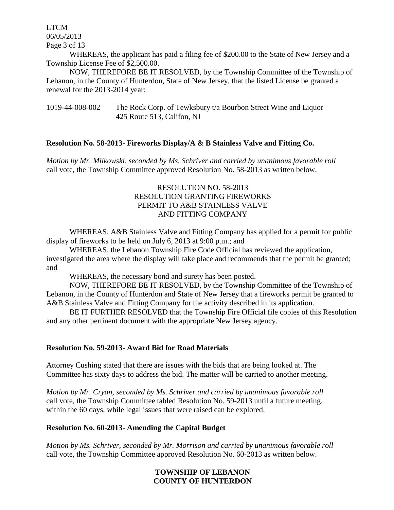LTCM 06/05/2013 Page 3 of 13

WHEREAS, the applicant has paid a filing fee of \$200.00 to the State of New Jersey and a Township License Fee of \$2,500.00.

NOW, THEREFORE BE IT RESOLVED, by the Township Committee of the Township of Lebanon, in the County of Hunterdon, State of New Jersey, that the listed License be granted a renewal for the 2013-2014 year:

1019-44-008-002 The Rock Corp. of Tewksbury t/a Bourbon Street Wine and Liquor 425 Route 513, Califon, NJ

### **Resolution No. 58-2013- Fireworks Display/A & B Stainless Valve and Fitting Co.**

*Motion by Mr. Milkowski, seconded by Ms. Schriver and carried by unanimous favorable roll*  call vote, the Township Committee approved Resolution No. 58-2013 as written below.

## RESOLUTION NO. 58-2013 RESOLUTION GRANTING FIREWORKS PERMIT TO A&B STAINLESS VALVE AND FITTING COMPANY

WHEREAS, A&B Stainless Valve and Fitting Company has applied for a permit for public display of fireworks to be held on July 6, 2013 at 9:00 p.m.; and

WHEREAS, the Lebanon Township Fire Code Official has reviewed the application, investigated the area where the display will take place and recommends that the permit be granted; and

WHEREAS, the necessary bond and surety has been posted.

NOW, THEREFORE BE IT RESOLVED, by the Township Committee of the Township of Lebanon, in the County of Hunterdon and State of New Jersey that a fireworks permit be granted to A&B Stainless Valve and Fitting Company for the activity described in its application.

BE IT FURTHER RESOLVED that the Township Fire Official file copies of this Resolution and any other pertinent document with the appropriate New Jersey agency.

### **Resolution No. 59-2013- Award Bid for Road Materials**

Attorney Cushing stated that there are issues with the bids that are being looked at. The Committee has sixty days to address the bid. The matter will be carried to another meeting.

*Motion by Mr. Cryan, seconded by Ms. Schriver and carried by unanimous favorable roll*  call vote, the Township Committee tabled Resolution No. 59-2013 until a future meeting, within the 60 days, while legal issues that were raised can be explored.

### **Resolution No. 60-2013- Amending the Capital Budget**

*Motion by Ms. Schriver, seconded by Mr. Morrison and carried by unanimous favorable roll*  call vote, the Township Committee approved Resolution No. 60-2013 as written below.

## **TOWNSHIP OF LEBANON COUNTY OF HUNTERDON**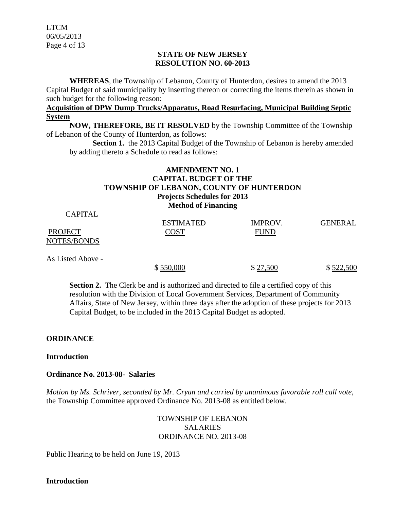LTCM 06/05/2013 Page 4 of 13

### **STATE OF NEW JERSEY RESOLUTION NO. 60-2013**

**WHEREAS**, the Township of Lebanon, County of Hunterdon, desires to amend the 2013 Capital Budget of said municipality by inserting thereon or correcting the items therein as shown in such budget for the following reason:

## **Acquisition of DPW Dump Trucks/Apparatus, Road Resurfacing, Municipal Building Septic System**

**NOW, THEREFORE, BE IT RESOLVED** by the Township Committee of the Township of Lebanon of the County of Hunterdon, as follows:

**Section 1.** the 2013 Capital Budget of the Township of Lebanon is hereby amended by adding thereto a Schedule to read as follows:

## **AMENDMENT NO. 1 CAPITAL BUDGET OF THE TOWNSHIP OF LEBANON, COUNTY OF HUNTERDON Projects Schedules for 2013 Method of Financing**

| CAPITAL           | <b>ESTIMATED</b> | IMPROV.     | <b>GENERAL</b> |
|-------------------|------------------|-------------|----------------|
| <b>PROJECT</b>    | COST             | <b>FUND</b> |                |
| NOTES/BONDS       |                  |             |                |
| As Listed Above - |                  |             |                |

 $$550,000$   $$27,500$   $$522,500$ 

**Section 2.** The Clerk be and is authorized and directed to file a certified copy of this resolution with the Division of Local Government Services, Department of Community Affairs, State of New Jersey, within three days after the adoption of these projects for 2013 Capital Budget, to be included in the 2013 Capital Budget as adopted.

### **ORDINANCE**

 $\alpha$  in  $\mathbf{r}$ 

### **Introduction**

### **Ordinance No. 2013-08- Salaries**

*Motion by Ms. Schriver, seconded by Mr. Cryan and carried by unanimous favorable roll call vote,*  the Township Committee approved Ordinance No. 2013-08 as entitled below.

## TOWNSHIP OF LEBANON SALARIES ORDINANCE NO. 2013-08

Public Hearing to be held on June 19, 2013

**Introduction**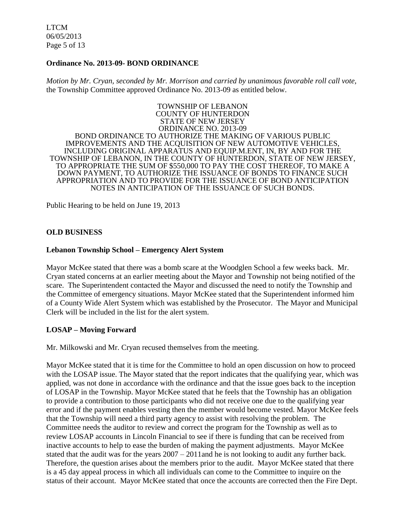LTCM 06/05/2013 Page 5 of 13

### **Ordinance No. 2013-09- BOND ORDINANCE**

*Motion by Mr. Cryan, seconded by Mr. Morrison and carried by unanimous favorable roll call vote,*  the Township Committee approved Ordinance No. 2013-09 as entitled below.

TOWNSHIP OF LEBANON COUNTY OF HUNTERDON STATE OF NEW JERSEY ORDINANCE NO. 2013-09 BOND ORDINANCE TO AUTHORIZE THE MAKING OF VARIOUS PUBLIC IMPROVEMENTS AND THE ACQUISITION OF NEW AUTOMOTIVE VEHICLES, INCLUDING ORIGINAL APPARATUS AND EQUIP.M.ENT, IN, BY AND FOR THE TOWNSHIP OF LEBANON, IN THE COUNTY OF HUNTERDON, STATE OF NEW JERSEY, TO APPROPRIATE THE SUM OF \$550,000 TO PAY THE COST THEREOF, TO MAKE A DOWN PAYMENT, TO AUTHORIZE THE ISSUANCE OF BONDS TO FINANCE SUCH APPROPRIATION AND TO PROVIDE FOR THE ISSUANCE OF BOND ANTICIPATION NOTES IN ANTICIPATION OF THE ISSUANCE OF SUCH BONDS.

Public Hearing to be held on June 19, 2013

#### **OLD BUSINESS**

#### **Lebanon Township School – Emergency Alert System**

Mayor McKee stated that there was a bomb scare at the Woodglen School a few weeks back. Mr. Cryan stated concerns at an earlier meeting about the Mayor and Township not being notified of the scare. The Superintendent contacted the Mayor and discussed the need to notify the Township and the Committee of emergency situations. Mayor McKee stated that the Superintendent informed him of a County Wide Alert System which was established by the Prosecutor. The Mayor and Municipal Clerk will be included in the list for the alert system.

### **LOSAP – Moving Forward**

Mr. Milkowski and Mr. Cryan recused themselves from the meeting.

Mayor McKee stated that it is time for the Committee to hold an open discussion on how to proceed with the LOSAP issue. The Mayor stated that the report indicates that the qualifying year, which was applied, was not done in accordance with the ordinance and that the issue goes back to the inception of LOSAP in the Township. Mayor McKee stated that he feels that the Township has an obligation to provide a contribution to those participants who did not receive one due to the qualifying year error and if the payment enables vesting then the member would become vested. Mayor McKee feels that the Township will need a third party agency to assist with resolving the problem. The Committee needs the auditor to review and correct the program for the Township as well as to review LOSAP accounts in Lincoln Financial to see if there is funding that can be received from inactive accounts to help to ease the burden of making the payment adjustments. Mayor McKee stated that the audit was for the years  $2007 - 2011$  and he is not looking to audit any further back. Therefore, the question arises about the members prior to the audit. Mayor McKee stated that there is a 45 day appeal process in which all individuals can come to the Committee to inquire on the status of their account. Mayor McKee stated that once the accounts are corrected then the Fire Dept.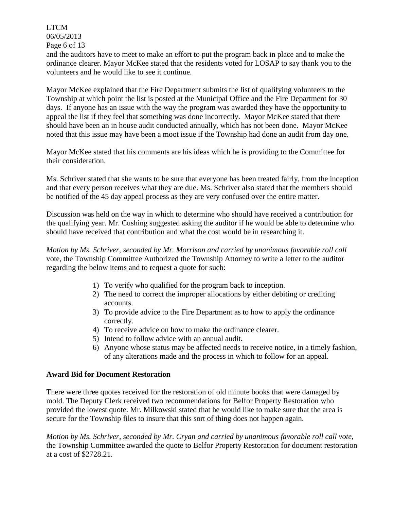LTCM 06/05/2013 Page 6 of 13

and the auditors have to meet to make an effort to put the program back in place and to make the ordinance clearer. Mayor McKee stated that the residents voted for LOSAP to say thank you to the volunteers and he would like to see it continue.

Mayor McKee explained that the Fire Department submits the list of qualifying volunteers to the Township at which point the list is posted at the Municipal Office and the Fire Department for 30 days. If anyone has an issue with the way the program was awarded they have the opportunity to appeal the list if they feel that something was done incorrectly. Mayor McKee stated that there should have been an in house audit conducted annually, which has not been done. Mayor McKee noted that this issue may have been a moot issue if the Township had done an audit from day one.

Mayor McKee stated that his comments are his ideas which he is providing to the Committee for their consideration.

Ms. Schriver stated that she wants to be sure that everyone has been treated fairly, from the inception and that every person receives what they are due. Ms. Schriver also stated that the members should be notified of the 45 day appeal process as they are very confused over the entire matter.

Discussion was held on the way in which to determine who should have received a contribution for the qualifying year. Mr. Cushing suggested asking the auditor if he would be able to determine who should have received that contribution and what the cost would be in researching it.

*Motion by Ms. Schriver, seconded by Mr. Morrison and carried by unanimous favorable roll call*  vote, the Township Committee Authorized the Township Attorney to write a letter to the auditor regarding the below items and to request a quote for such:

- 1) To verify who qualified for the program back to inception.
- 2) The need to correct the improper allocations by either debiting or crediting accounts.
- 3) To provide advice to the Fire Department as to how to apply the ordinance correctly.
- 4) To receive advice on how to make the ordinance clearer.
- 5) Intend to follow advice with an annual audit.
- 6) Anyone whose status may be affected needs to receive notice, in a timely fashion, of any alterations made and the process in which to follow for an appeal.

### **Award Bid for Document Restoration**

There were three quotes received for the restoration of old minute books that were damaged by mold. The Deputy Clerk received two recommendations for Belfor Property Restoration who provided the lowest quote. Mr. Milkowski stated that he would like to make sure that the area is secure for the Township files to insure that this sort of thing does not happen again.

*Motion by Ms. Schriver, seconded by Mr. Cryan and carried by unanimous favorable roll call vote,* the Township Committee awarded the quote to Belfor Property Restoration for document restoration at a cost of \$2728.21.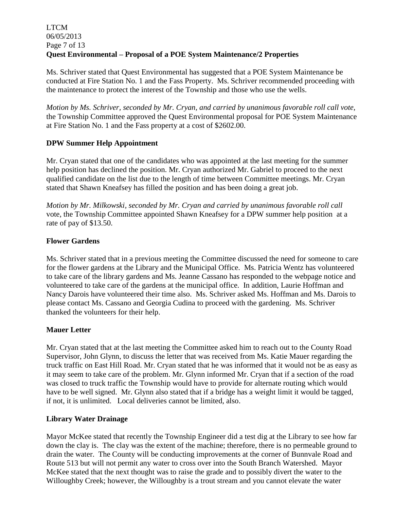## LTCM 06/05/2013 Page 7 of 13 **Quest Environmental – Proposal of a POE System Maintenance/2 Properties**

Ms. Schriver stated that Quest Environmental has suggested that a POE System Maintenance be conducted at Fire Station No. 1 and the Fass Property. Ms. Schriver recommended proceeding with the maintenance to protect the interest of the Township and those who use the wells.

*Motion by Ms. Schriver, seconded by Mr. Cryan, and carried by unanimous favorable roll call vote,* the Township Committee approved the Quest Environmental proposal for POE System Maintenance at Fire Station No. 1 and the Fass property at a cost of \$2602.00.

## **DPW Summer Help Appointment**

Mr. Cryan stated that one of the candidates who was appointed at the last meeting for the summer help position has declined the position. Mr. Cryan authorized Mr. Gabriel to proceed to the next qualified candidate on the list due to the length of time between Committee meetings. Mr. Cryan stated that Shawn Kneafsey has filled the position and has been doing a great job.

*Motion by Mr. Milkowski, seconded by Mr. Cryan and carried by unanimous favorable roll call*  vote, the Township Committee appointed Shawn Kneafsey for a DPW summer help position at a rate of pay of \$13.50.

## **Flower Gardens**

Ms. Schriver stated that in a previous meeting the Committee discussed the need for someone to care for the flower gardens at the Library and the Municipal Office. Ms. Patricia Wentz has volunteered to take care of the library gardens and Ms. Jeanne Cassano has responded to the webpage notice and volunteered to take care of the gardens at the municipal office. In addition, Laurie Hoffman and Nancy Darois have volunteered their time also. Ms. Schriver asked Ms. Hoffman and Ms. Darois to please contact Ms. Cassano and Georgia Cudina to proceed with the gardening. Ms. Schriver thanked the volunteers for their help.

## **Mauer Letter**

Mr. Cryan stated that at the last meeting the Committee asked him to reach out to the County Road Supervisor, John Glynn, to discuss the letter that was received from Ms. Katie Mauer regarding the truck traffic on East Hill Road. Mr. Cryan stated that he was informed that it would not be as easy as it may seem to take care of the problem. Mr. Glynn informed Mr. Cryan that if a section of the road was closed to truck traffic the Township would have to provide for alternate routing which would have to be well signed. Mr. Glynn also stated that if a bridge has a weight limit it would be tagged, if not, it is unlimited. Local deliveries cannot be limited, also.

## **Library Water Drainage**

Mayor McKee stated that recently the Township Engineer did a test dig at the Library to see how far down the clay is. The clay was the extent of the machine; therefore, there is no permeable ground to drain the water. The County will be conducting improvements at the corner of Bunnvale Road and Route 513 but will not permit any water to cross over into the South Branch Watershed. Mayor McKee stated that the next thought was to raise the grade and to possibly divert the water to the Willoughby Creek; however, the Willoughby is a trout stream and you cannot elevate the water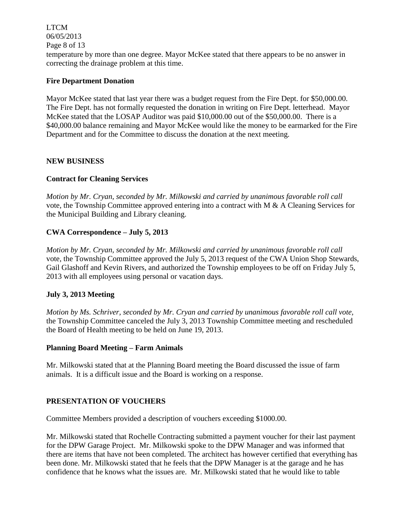LTCM 06/05/2013 Page 8 of 13 temperature by more than one degree. Mayor McKee stated that there appears to be no answer in correcting the drainage problem at this time.

## **Fire Department Donation**

Mayor McKee stated that last year there was a budget request from the Fire Dept. for \$50,000.00. The Fire Dept. has not formally requested the donation in writing on Fire Dept. letterhead. Mayor McKee stated that the LOSAP Auditor was paid \$10,000.00 out of the \$50,000.00. There is a \$40,000.00 balance remaining and Mayor McKee would like the money to be earmarked for the Fire Department and for the Committee to discuss the donation at the next meeting.

## **NEW BUSINESS**

## **Contract for Cleaning Services**

*Motion by Mr. Cryan, seconded by Mr. Milkowski and carried by unanimous favorable roll call*  vote, the Township Committee approved entering into a contract with M & A Cleaning Services for the Municipal Building and Library cleaning.

## **CWA Correspondence – July 5, 2013**

*Motion by Mr. Cryan, seconded by Mr. Milkowski and carried by unanimous favorable roll call*  vote, the Township Committee approved the July 5, 2013 request of the CWA Union Shop Stewards, Gail Glashoff and Kevin Rivers, and authorized the Township employees to be off on Friday July 5, 2013 with all employees using personal or vacation days.

### **July 3, 2013 Meeting**

*Motion by Ms. Schriver, seconded by Mr. Cryan and carried by unanimous favorable roll call vote,* the Township Committee canceled the July 3, 2013 Township Committee meeting and rescheduled the Board of Health meeting to be held on June 19, 2013.

### **Planning Board Meeting – Farm Animals**

Mr. Milkowski stated that at the Planning Board meeting the Board discussed the issue of farm animals. It is a difficult issue and the Board is working on a response.

### **PRESENTATION OF VOUCHERS**

Committee Members provided a description of vouchers exceeding \$1000.00.

Mr. Milkowski stated that Rochelle Contracting submitted a payment voucher for their last payment for the DPW Garage Project. Mr. Milkowski spoke to the DPW Manager and was informed that there are items that have not been completed. The architect has however certified that everything has been done. Mr. Milkowski stated that he feels that the DPW Manager is at the garage and he has confidence that he knows what the issues are. Mr. Milkowski stated that he would like to table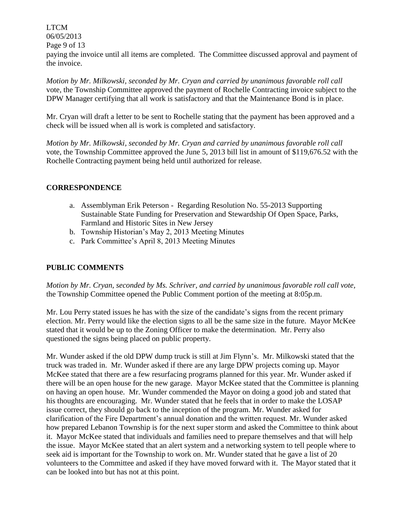LTCM 06/05/2013

Page 9 of 13

paying the invoice until all items are completed. The Committee discussed approval and payment of the invoice.

*Motion by Mr. Milkowski, seconded by Mr. Cryan and carried by unanimous favorable roll call*  vote, the Township Committee approved the payment of Rochelle Contracting invoice subject to the DPW Manager certifying that all work is satisfactory and that the Maintenance Bond is in place.

Mr. Cryan will draft a letter to be sent to Rochelle stating that the payment has been approved and a check will be issued when all is work is completed and satisfactory.

*Motion by Mr. Milkowski, seconded by Mr. Cryan and carried by unanimous favorable roll call*  vote, the Township Committee approved the June 5, 2013 bill list in amount of \$119,676.52 with the Rochelle Contracting payment being held until authorized for release.

## **CORRESPONDENCE**

- a. Assemblyman Erik Peterson Regarding Resolution No. 55-2013 Supporting Sustainable State Funding for Preservation and Stewardship Of Open Space, Parks, Farmland and Historic Sites in New Jersey
- b. Township Historian's May 2, 2013 Meeting Minutes
- c. Park Committee's April 8, 2013 Meeting Minutes

# **PUBLIC COMMENTS**

*Motion by Mr. Cryan, seconded by Ms. Schriver, and carried by unanimous favorable roll call vote,* the Township Committee opened the Public Comment portion of the meeting at 8:05p.m.

Mr. Lou Perry stated issues he has with the size of the candidate's signs from the recent primary election. Mr. Perry would like the election signs to all be the same size in the future. Mayor McKee stated that it would be up to the Zoning Officer to make the determination. Mr. Perry also questioned the signs being placed on public property.

Mr. Wunder asked if the old DPW dump truck is still at Jim Flynn's. Mr. Milkowski stated that the truck was traded in. Mr. Wunder asked if there are any large DPW projects coming up. Mayor McKee stated that there are a few resurfacing programs planned for this year. Mr. Wunder asked if there will be an open house for the new garage. Mayor McKee stated that the Committee is planning on having an open house. Mr. Wunder commended the Mayor on doing a good job and stated that his thoughts are encouraging. Mr. Wunder stated that he feels that in order to make the LOSAP issue correct, they should go back to the inception of the program. Mr. Wunder asked for clarification of the Fire Department's annual donation and the written request. Mr. Wunder asked how prepared Lebanon Township is for the next super storm and asked the Committee to think about it. Mayor McKee stated that individuals and families need to prepare themselves and that will help the issue. Mayor McKee stated that an alert system and a networking system to tell people where to seek aid is important for the Township to work on. Mr. Wunder stated that he gave a list of 20 volunteers to the Committee and asked if they have moved forward with it. The Mayor stated that it can be looked into but has not at this point.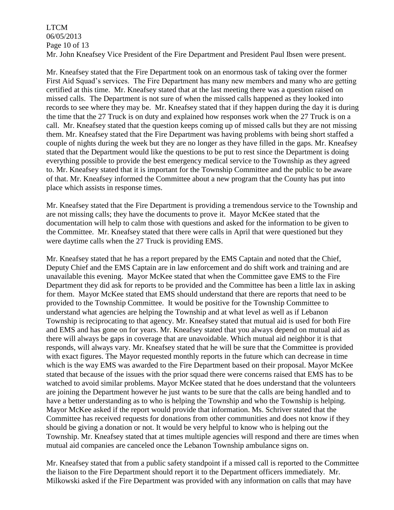## LTCM 06/05/2013 Page 10 of 13 Mr. John Kneafsey Vice President of the Fire Department and President Paul Ibsen were present.

Mr. Kneafsey stated that the Fire Department took on an enormous task of taking over the former First Aid Squad's services. The Fire Department has many new members and many who are getting certified at this time. Mr. Kneafsey stated that at the last meeting there was a question raised on missed calls. The Department is not sure of when the missed calls happened as they looked into records to see where they may be. Mr. Kneafsey stated that if they happen during the day it is during the time that the 27 Truck is on duty and explained how responses work when the 27 Truck is on a call. Mr. Kneafsey stated that the question keeps coming up of missed calls but they are not missing them. Mr. Kneafsey stated that the Fire Department was having problems with being short staffed a couple of nights during the week but they are no longer as they have filled in the gaps. Mr. Kneafsey stated that the Department would like the questions to be put to rest since the Department is doing everything possible to provide the best emergency medical service to the Township as they agreed to. Mr. Kneafsey stated that it is important for the Township Committee and the public to be aware of that. Mr. Kneafsey informed the Committee about a new program that the County has put into place which assists in response times.

Mr. Kneafsey stated that the Fire Department is providing a tremendous service to the Township and are not missing calls; they have the documents to prove it. Mayor McKee stated that the documentation will help to calm those with questions and asked for the information to be given to the Committee. Mr. Kneafsey stated that there were calls in April that were questioned but they were daytime calls when the 27 Truck is providing EMS.

Mr. Kneafsey stated that he has a report prepared by the EMS Captain and noted that the Chief, Deputy Chief and the EMS Captain are in law enforcement and do shift work and training and are unavailable this evening. Mayor McKee stated that when the Committee gave EMS to the Fire Department they did ask for reports to be provided and the Committee has been a little lax in asking for them. Mayor McKee stated that EMS should understand that there are reports that need to be provided to the Township Committee. It would be positive for the Township Committee to understand what agencies are helping the Township and at what level as well as if Lebanon Township is reciprocating to that agency. Mr. Kneafsey stated that mutual aid is used for both Fire and EMS and has gone on for years. Mr. Kneafsey stated that you always depend on mutual aid as there will always be gaps in coverage that are unavoidable. Which mutual aid neighbor it is that responds, will always vary. Mr. Kneafsey stated that he will be sure that the Committee is provided with exact figures. The Mayor requested monthly reports in the future which can decrease in time which is the way EMS was awarded to the Fire Department based on their proposal. Mayor McKee stated that because of the issues with the prior squad there were concerns raised that EMS has to be watched to avoid similar problems. Mayor McKee stated that he does understand that the volunteers are joining the Department however he just wants to be sure that the calls are being handled and to have a better understanding as to who is helping the Township and who the Township is helping. Mayor McKee asked if the report would provide that information. Ms. Schriver stated that the Committee has received requests for donations from other communities and does not know if they should be giving a donation or not. It would be very helpful to know who is helping out the Township. Mr. Kneafsey stated that at times multiple agencies will respond and there are times when mutual aid companies are canceled once the Lebanon Township ambulance signs on.

Mr. Kneafsey stated that from a public safety standpoint if a missed call is reported to the Committee the liaison to the Fire Department should report it to the Department officers immediately. Mr. Milkowski asked if the Fire Department was provided with any information on calls that may have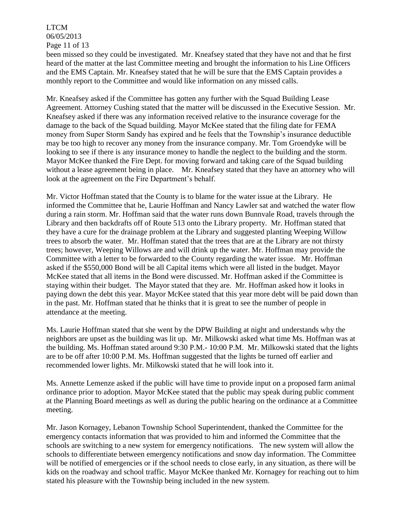# LTCM 06/05/2013 Page 11 of 13

been missed so they could be investigated. Mr. Kneafsey stated that they have not and that he first heard of the matter at the last Committee meeting and brought the information to his Line Officers and the EMS Captain. Mr. Kneafsey stated that he will be sure that the EMS Captain provides a monthly report to the Committee and would like information on any missed calls.

Mr. Kneafsey asked if the Committee has gotten any further with the Squad Building Lease Agreement. Attorney Cushing stated that the matter will be discussed in the Executive Session. Mr. Kneafsey asked if there was any information received relative to the insurance coverage for the damage to the back of the Squad building. Mayor McKee stated that the filing date for FEMA money from Super Storm Sandy has expired and he feels that the Township's insurance deductible may be too high to recover any money from the insurance company. Mr. Tom Groendyke will be looking to see if there is any insurance money to handle the neglect to the building and the storm. Mayor McKee thanked the Fire Dept. for moving forward and taking care of the Squad building without a lease agreement being in place. Mr. Kneafsey stated that they have an attorney who will look at the agreement on the Fire Department's behalf.

Mr. Victor Hoffman stated that the County is to blame for the water issue at the Library. He informed the Committee that he, Laurie Hoffman and Nancy Lawler sat and watched the water flow during a rain storm. Mr. Hoffman said that the water runs down Bunnvale Road, travels through the Library and then backdrafts off of Route 513 onto the Library property. Mr. Hoffman stated that they have a cure for the drainage problem at the Library and suggested planting Weeping Willow trees to absorb the water. Mr. Hoffman stated that the trees that are at the Library are not thirsty trees; however, Weeping Willows are and will drink up the water. Mr. Hoffman may provide the Committee with a letter to be forwarded to the County regarding the water issue. Mr. Hoffman asked if the \$550,000 Bond will be all Capital items which were all listed in the budget. Mayor McKee stated that all items in the Bond were discussed. Mr. Hoffman asked if the Committee is staying within their budget. The Mayor stated that they are. Mr. Hoffman asked how it looks in paying down the debt this year. Mayor McKee stated that this year more debt will be paid down than in the past. Mr. Hoffman stated that he thinks that it is great to see the number of people in attendance at the meeting.

Ms. Laurie Hoffman stated that she went by the DPW Building at night and understands why the neighbors are upset as the building was lit up. Mr. Milkowski asked what time Ms. Hoffman was at the building. Ms. Hoffman stated around 9:30 P.M.- 10:00 P.M. Mr. Milkowski stated that the lights are to be off after 10:00 P.M. Ms. Hoffman suggested that the lights be turned off earlier and recommended lower lights. Mr. Milkowski stated that he will look into it.

Ms. Annette Lemenze asked if the public will have time to provide input on a proposed farm animal ordinance prior to adoption. Mayor McKee stated that the public may speak during public comment at the Planning Board meetings as well as during the public hearing on the ordinance at a Committee meeting.

Mr. Jason Kornagey, Lebanon Township School Superintendent, thanked the Committee for the emergency contacts information that was provided to him and informed the Committee that the schools are switching to a new system for emergency notifications. The new system will allow the schools to differentiate between emergency notifications and snow day information. The Committee will be notified of emergencies or if the school needs to close early, in any situation, as there will be kids on the roadway and school traffic. Mayor McKee thanked Mr. Kornagey for reaching out to him stated his pleasure with the Township being included in the new system.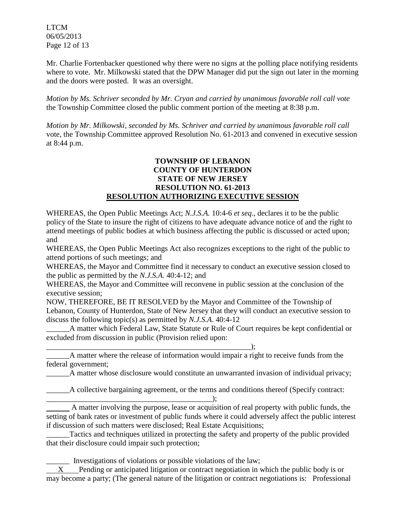LTCM 06/05/2013 Page 12 of 13

Mr. Charlie Fortenbacker questioned why there were no signs at the polling place notifying residents where to vote. Mr. Milkowski stated that the DPW Manager did put the sign out later in the morning and the doors were posted. It was an oversight.

*Motion by Ms. Schriver seconded by Mr. Cryan and carried by unanimous favorable roll call vote* the Township Committee closed the public comment portion of the meeting at 8:38 p.m.

*Motion by Mr. Milkowski, seconded by Ms. Schriver and carried by unanimous favorable roll call*  vote, the Township Committee approved Resolution No. 61-2013 and convened in executive session at 8:44 p.m.

## **TOWNSHIP OF LEBANON COUNTY OF HUNTERDON STATE OF NEW JERSEY RESOLUTION NO. 61-2013 RESOLUTION AUTHORIZING EXECUTIVE SESSION**

WHEREAS, the Open Public Meetings Act; *N.J.S.A.* 10:4-6 *et seq*., declares it to be the public policy of the State to insure the right of citizens to have adequate advance notice of and the right to attend meetings of public bodies at which business affecting the public is discussed or acted upon; and

WHEREAS, the Open Public Meetings Act also recognizes exceptions to the right of the public to attend portions of such meetings; and

WHEREAS, the Mayor and Committee find it necessary to conduct an executive session closed to the public as permitted by the *N.J.S.A*. 40:4-12; and

WHEREAS, the Mayor and Committee will reconvene in public session at the conclusion of the executive session;

NOW, THEREFORE, BE IT RESOLVED by the Mayor and Committee of the Township of Lebanon, County of Hunterdon, State of New Jersey that they will conduct an executive session to discuss the following topic(s) as permitted by *N.J.S.A*. 40:4-12

A matter which Federal Law, State Statute or Rule of Court requires be kept confidential or excluded from discussion in public (Provision relied upon:

\_\_\_\_\_\_\_\_\_\_\_\_\_\_\_\_\_\_\_\_\_\_\_\_\_\_\_\_\_\_\_\_\_\_\_\_\_\_\_\_\_\_\_\_\_\_\_\_\_\_\_\_\_); A matter where the release of information would impair a right to receive funds from the federal government;

\_\_\_\_\_\_A matter whose disclosure would constitute an unwarranted invasion of individual privacy;

\_\_\_\_\_\_A collective bargaining agreement, or the terms and conditions thereof (Specify contract:

\_\_\_\_\_\_\_\_\_\_\_\_\_\_\_\_\_\_\_\_\_\_\_\_\_\_\_\_\_\_\_\_\_\_\_\_\_\_\_\_\_\_\_); A matter involving the purpose, lease or acquisition of real property with public funds, the setting of bank rates or investment of public funds where it could adversely affect the public interest if discussion of such matters were disclosed; Real Estate Acquisitions;

\_\_\_\_\_\_Tactics and techniques utilized in protecting the safety and property of the public provided that their disclosure could impair such protection;

\_\_\_\_\_\_ Investigations of violations or possible violations of the law;

 X Pending or anticipated litigation or contract negotiation in which the public body is or may become a party; (The general nature of the litigation or contract negotiations is: Professional